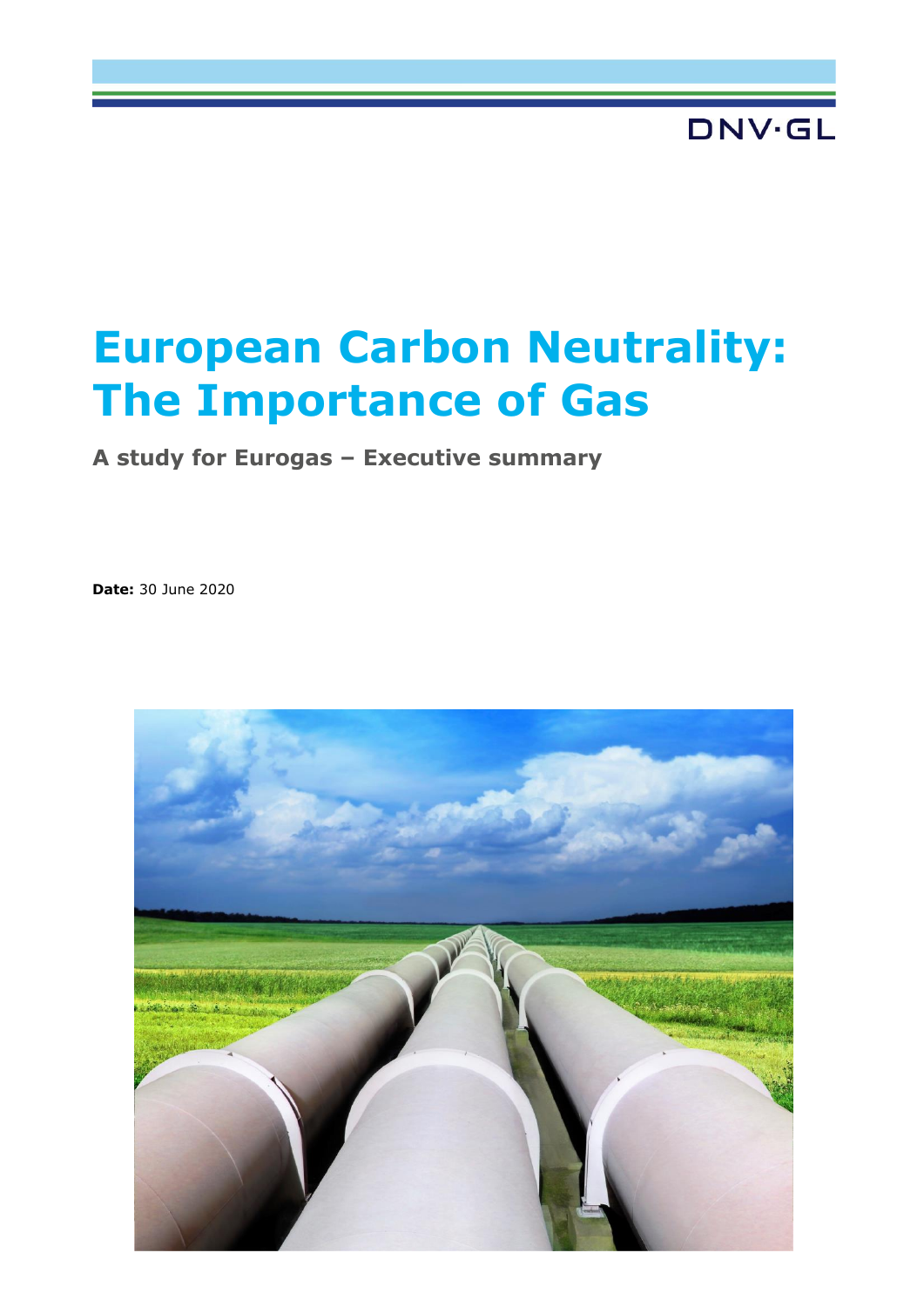# **DNV·GL**

# **European Carbon Neutrality: The Importance of Gas**

**A study for Eurogas – Executive summary**

**Date:** 30 June 2020

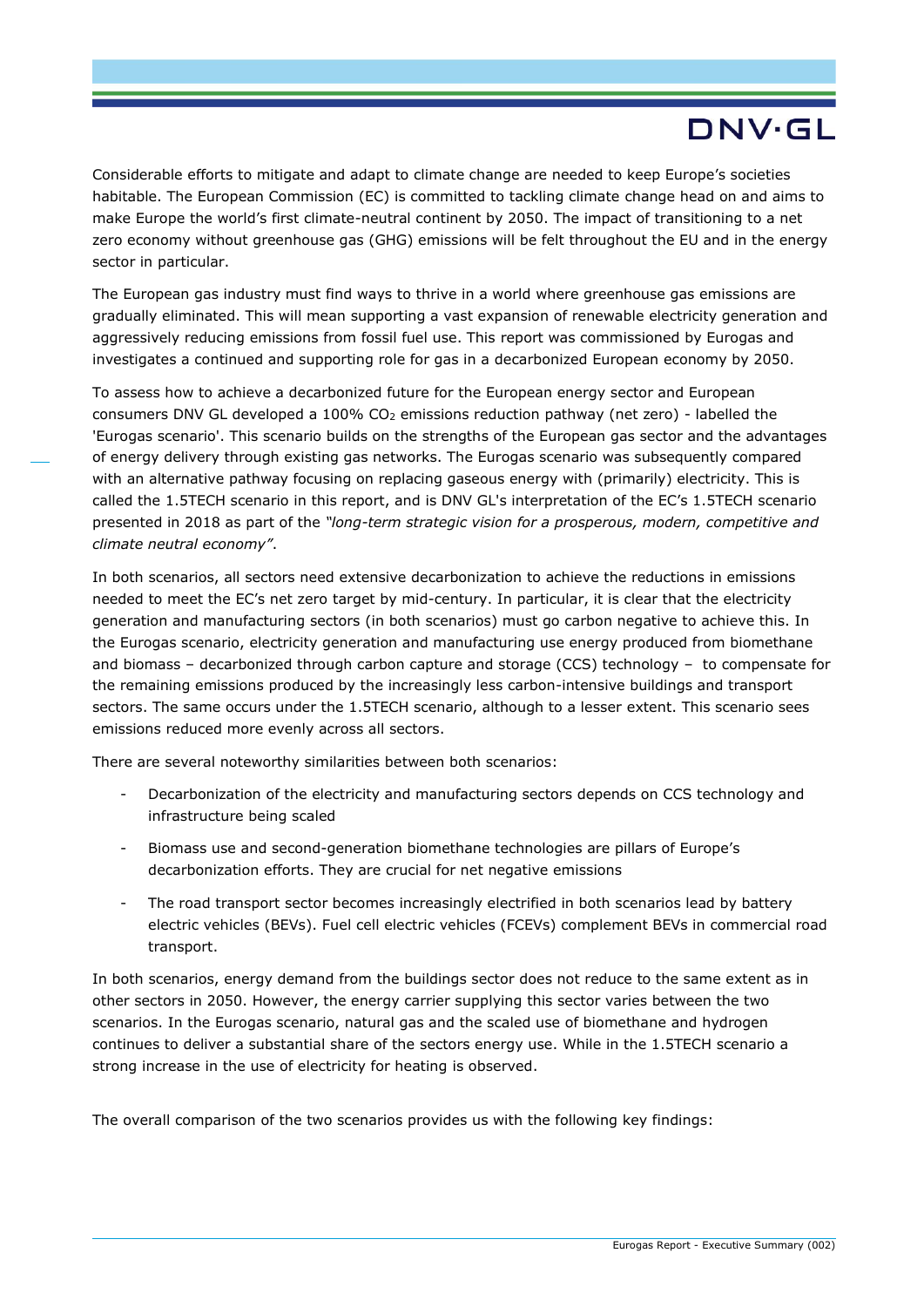# DNV·GL

Considerable efforts to mitigate and adapt to climate change are needed to keep Europe's societies habitable. The European Commission (EC) is committed to tackling climate change head on and aims to make Europe the world's first climate-neutral continent by 2050. The impact of transitioning to a net zero economy without greenhouse gas (GHG) emissions will be felt throughout the EU and in the energy sector in particular.

The European gas industry must find ways to thrive in a world where greenhouse gas emissions are gradually eliminated. This will mean supporting a vast expansion of renewable electricity generation and aggressively reducing emissions from fossil fuel use. This report was commissioned by Eurogas and investigates a continued and supporting role for gas in a decarbonized European economy by 2050.

To assess how to achieve a decarbonized future for the European energy sector and European consumers DNV GL developed a 100%  $CO<sub>2</sub>$  emissions reduction pathway (net zero) - labelled the 'Eurogas scenario'. This scenario builds on the strengths of the European gas sector and the advantages of energy delivery through existing gas networks. The Eurogas scenario was subsequently compared with an alternative pathway focusing on replacing gaseous energy with (primarily) electricity. This is called the 1.5TECH scenario in this report, and is DNV GL's interpretation of the EC's 1.5TECH scenario presented in 2018 as part of the *"long-term strategic vision for a prosperous, modern, competitive and climate neutral economy"*.

In both scenarios, all sectors need extensive decarbonization to achieve the reductions in emissions needed to meet the EC's net zero target by mid-century. In particular, it is clear that the electricity generation and manufacturing sectors (in both scenarios) must go carbon negative to achieve this. In the Eurogas scenario, electricity generation and manufacturing use energy produced from biomethane and biomass – decarbonized through carbon capture and storage (CCS) technology – to compensate for the remaining emissions produced by the increasingly less carbon-intensive buildings and transport sectors. The same occurs under the 1.5TECH scenario, although to a lesser extent. This scenario sees emissions reduced more evenly across all sectors.

There are several noteworthy similarities between both scenarios:

- Decarbonization of the electricity and manufacturing sectors depends on CCS technology and infrastructure being scaled
- Biomass use and second-generation biomethane technologies are pillars of Europe's decarbonization efforts. They are crucial for net negative emissions
- The road transport sector becomes increasingly electrified in both scenarios lead by battery electric vehicles (BEVs). Fuel cell electric vehicles (FCEVs) complement BEVs in commercial road transport.

In both scenarios, energy demand from the buildings sector does not reduce to the same extent as in other sectors in 2050. However, the energy carrier supplying this sector varies between the two scenarios. In the Eurogas scenario, natural gas and the scaled use of biomethane and hydrogen continues to deliver a substantial share of the sectors energy use. While in the 1.5TECH scenario a strong increase in the use of electricity for heating is observed.

The overall comparison of the two scenarios provides us with the following key findings: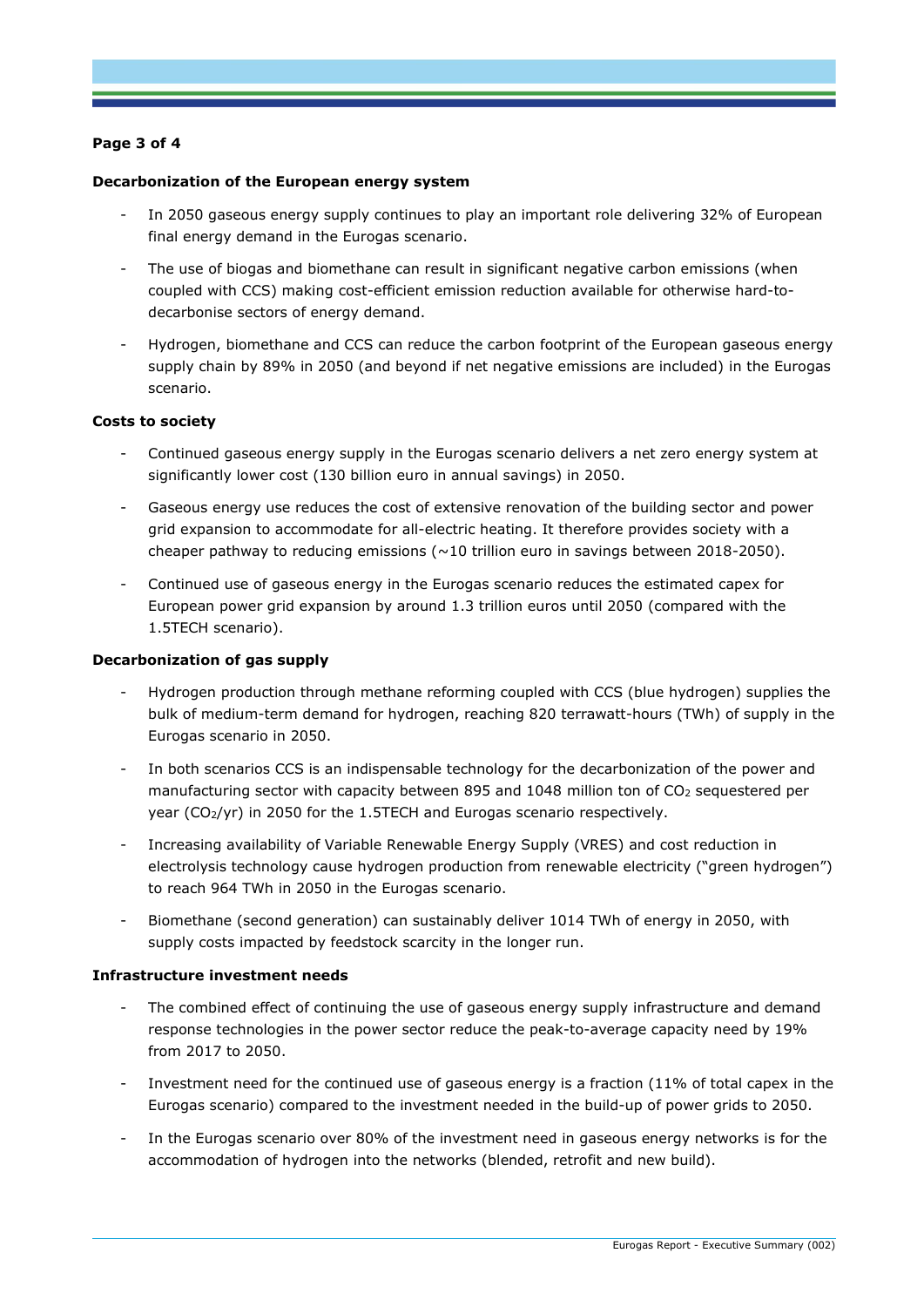## **Page 3 of 4**

#### **Decarbonization of the European energy system**

- In 2050 gaseous energy supply continues to play an important role delivering 32% of European final energy demand in the Eurogas scenario.
- The use of biogas and biomethane can result in significant negative carbon emissions (when coupled with CCS) making cost-efficient emission reduction available for otherwise hard-todecarbonise sectors of energy demand.
- Hydrogen, biomethane and CCS can reduce the carbon footprint of the European gaseous energy supply chain by 89% in 2050 (and beyond if net negative emissions are included) in the Eurogas scenario.

#### **Costs to society**

- Continued gaseous energy supply in the Eurogas scenario delivers a net zero energy system at significantly lower cost (130 billion euro in annual savings) in 2050.
- Gaseous energy use reduces the cost of extensive renovation of the building sector and power grid expansion to accommodate for all-electric heating. It therefore provides society with a cheaper pathway to reducing emissions ( $\sim$ 10 trillion euro in savings between 2018-2050).
- Continued use of gaseous energy in the Eurogas scenario reduces the estimated capex for European power grid expansion by around 1.3 trillion euros until 2050 (compared with the 1.5TECH scenario).

#### **Decarbonization of gas supply**

- Hydrogen production through methane reforming coupled with CCS (blue hydrogen) supplies the bulk of medium-term demand for hydrogen, reaching 820 terrawatt-hours (TWh) of supply in the Eurogas scenario in 2050.
- In both scenarios CCS is an indispensable technology for the decarbonization of the power and manufacturing sector with capacity between 895 and 1048 million ton of  $CO<sub>2</sub>$  sequestered per year (CO2/yr) in 2050 for the 1.5TECH and Eurogas scenario respectively.
- Increasing availability of Variable Renewable Energy Supply (VRES) and cost reduction in electrolysis technology cause hydrogen production from renewable electricity ("green hydrogen") to reach 964 TWh in 2050 in the Eurogas scenario.
- Biomethane (second generation) can sustainably deliver 1014 TWh of energy in 2050, with supply costs impacted by feedstock scarcity in the longer run.

#### **Infrastructure investment needs**

- The combined effect of continuing the use of gaseous energy supply infrastructure and demand response technologies in the power sector reduce the peak-to-average capacity need by 19% from 2017 to 2050.
- Investment need for the continued use of gaseous energy is a fraction (11% of total capex in the Eurogas scenario) compared to the investment needed in the build-up of power grids to 2050.
- In the Eurogas scenario over 80% of the investment need in gaseous energy networks is for the accommodation of hydrogen into the networks (blended, retrofit and new build).